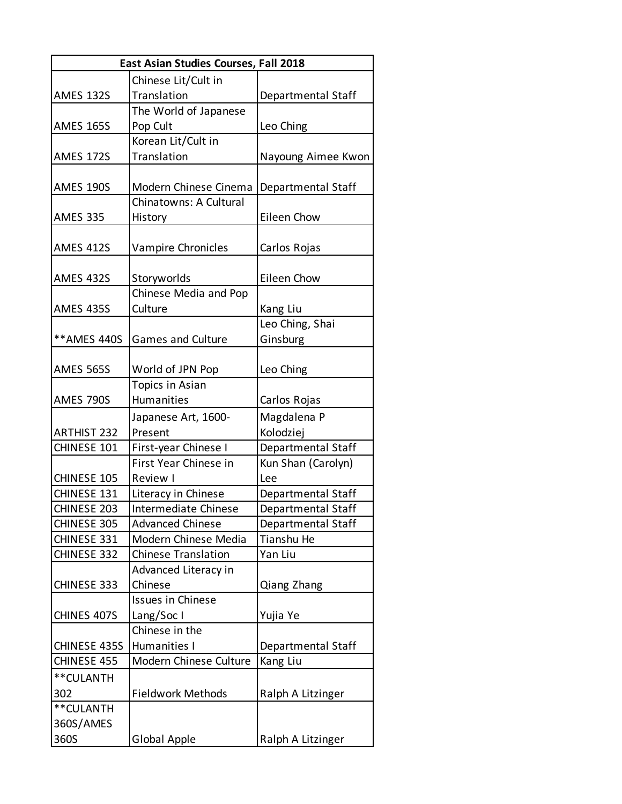| East Asian Studies Courses, Fall 2018 |                            |                    |
|---------------------------------------|----------------------------|--------------------|
|                                       | Chinese Lit/Cult in        |                    |
| <b>AMES 132S</b>                      | Translation                | Departmental Staff |
|                                       | The World of Japanese      |                    |
| <b>AMES 165S</b>                      | Pop Cult                   | Leo Ching          |
|                                       | Korean Lit/Cult in         |                    |
| <b>AMES 172S</b>                      | Translation                | Nayoung Aimee Kwon |
|                                       |                            |                    |
| <b>AMES 190S</b>                      | Modern Chinese Cinema      | Departmental Staff |
|                                       | Chinatowns: A Cultural     |                    |
| <b>AMES 335</b>                       | History                    | Eileen Chow        |
|                                       |                            |                    |
| <b>AMES 412S</b>                      | Vampire Chronicles         | Carlos Rojas       |
|                                       |                            |                    |
| <b>AMES 432S</b>                      | Storyworlds                | Eileen Chow        |
|                                       | Chinese Media and Pop      |                    |
| <b>AMES 435S</b>                      | Culture                    | Kang Liu           |
|                                       |                            | Leo Ching, Shai    |
| ** AMES 440S                          | <b>Games and Culture</b>   | Ginsburg           |
|                                       |                            |                    |
| <b>AMES 565S</b>                      | World of JPN Pop           | Leo Ching          |
|                                       | <b>Topics in Asian</b>     |                    |
| AMES 790S                             | <b>Humanities</b>          | Carlos Rojas       |
|                                       | Japanese Art, 1600-        | Magdalena P        |
| <b>ARTHIST 232</b>                    | Present                    | Kolodziej          |
| CHINESE 101                           | First-year Chinese I       | Departmental Staff |
|                                       | First Year Chinese in      | Kun Shan (Carolyn) |
| CHINESE 105                           | Review I                   | Lee                |
| CHINESE 131                           | Literacy in Chinese        | Departmental Staff |
| CHINESE 203                           | Intermediate Chinese       | Departmental Staff |
| <b>CHINESE 305</b>                    | <b>Advanced Chinese</b>    | Departmental Staff |
| CHINESE 331                           | Modern Chinese Media       | Tianshu He         |
| CHINESE 332                           | <b>Chinese Translation</b> | Yan Liu            |
|                                       | Advanced Literacy in       |                    |
| CHINESE 333                           | Chinese                    | Qiang Zhang        |
|                                       | <b>Issues in Chinese</b>   |                    |
| CHINES 407S                           | Lang/Soc I                 | Yujia Ye           |
|                                       | Chinese in the             |                    |
| CHINESE 435S                          | Humanities I               | Departmental Staff |
| CHINESE 455                           | Modern Chinese Culture     | Kang Liu           |
| **CULANTH                             |                            |                    |
| 302                                   | <b>Fieldwork Methods</b>   | Ralph A Litzinger  |
| **CULANTH                             |                            |                    |
| 360S/AMES                             |                            |                    |
| 360S                                  | Global Apple               | Ralph A Litzinger  |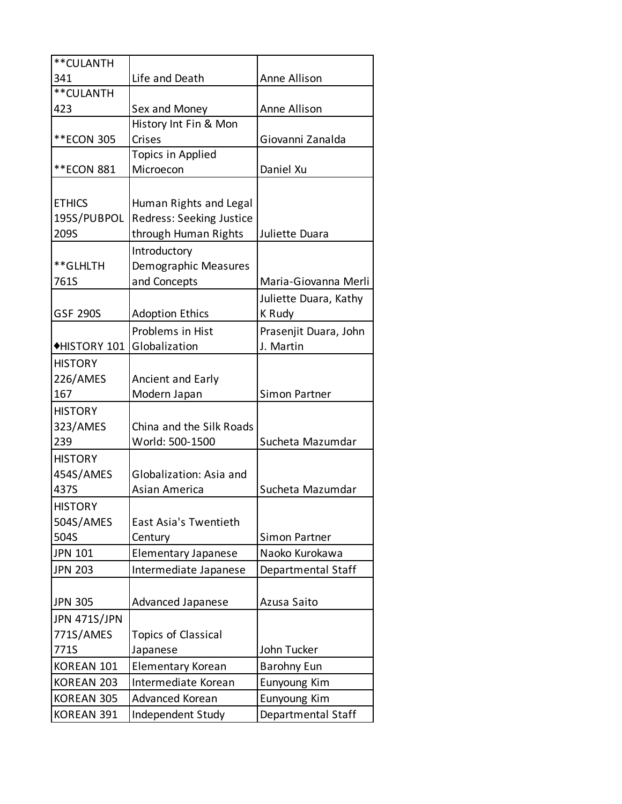| **CULANTH           |                            |                       |
|---------------------|----------------------------|-----------------------|
| 341                 | Life and Death             | Anne Allison          |
| **CULANTH           |                            |                       |
| 423                 | Sex and Money              | Anne Allison          |
|                     | History Int Fin & Mon      |                       |
| **ECON 305          | Crises                     | Giovanni Zanalda      |
|                     | Topics in Applied          |                       |
| **ECON 881          | Microecon                  | Daniel Xu             |
|                     |                            |                       |
| <b>ETHICS</b>       | Human Rights and Legal     |                       |
| 195S/PUBPOL         | Redress: Seeking Justice   |                       |
| 209S                | through Human Rights       | Juliette Duara        |
|                     | Introductory               |                       |
| **GLHLTH            | Demographic Measures       |                       |
| 761S                | and Concepts               | Maria-Giovanna Merli  |
|                     |                            | Juliette Duara, Kathy |
| <b>GSF 290S</b>     | <b>Adoption Ethics</b>     | K Rudy                |
|                     | Problems in Hist           | Prasenjit Duara, John |
| ◆HISTORY 101        | Globalization              | J. Martin             |
| <b>HISTORY</b>      |                            |                       |
| 226/AMES            | Ancient and Early          |                       |
| 167                 | Modern Japan               | Simon Partner         |
| <b>HISTORY</b>      |                            |                       |
| 323/AMES            | China and the Silk Roads   |                       |
| 239                 | World: 500-1500            | Sucheta Mazumdar      |
| <b>HISTORY</b>      |                            |                       |
| 454S/AMES           | Globalization: Asia and    |                       |
| 437S                | Asian America              | Sucheta Mazumdar      |
| <b>HISTORY</b>      |                            |                       |
| 504S/AMES           | East Asia's Twentieth      |                       |
| 504S                | Century                    | Simon Partner         |
| <b>JPN 101</b>      | <b>Elementary Japanese</b> | Naoko Kurokawa        |
| <b>JPN 203</b>      | Intermediate Japanese      | Departmental Staff    |
|                     |                            |                       |
| <b>JPN 305</b>      | <b>Advanced Japanese</b>   | Azusa Saito           |
| <b>JPN 471S/JPN</b> |                            |                       |
| 771S/AMES           | <b>Topics of Classical</b> |                       |
| 771S                | Japanese                   | John Tucker           |
| KOREAN 101          | <b>Elementary Korean</b>   | <b>Barohny Eun</b>    |
| <b>KOREAN 203</b>   | Intermediate Korean        | Eunyoung Kim          |
| KOREAN 305          | Advanced Korean            | Eunyoung Kim          |
| KOREAN 391          | Independent Study          | Departmental Staff    |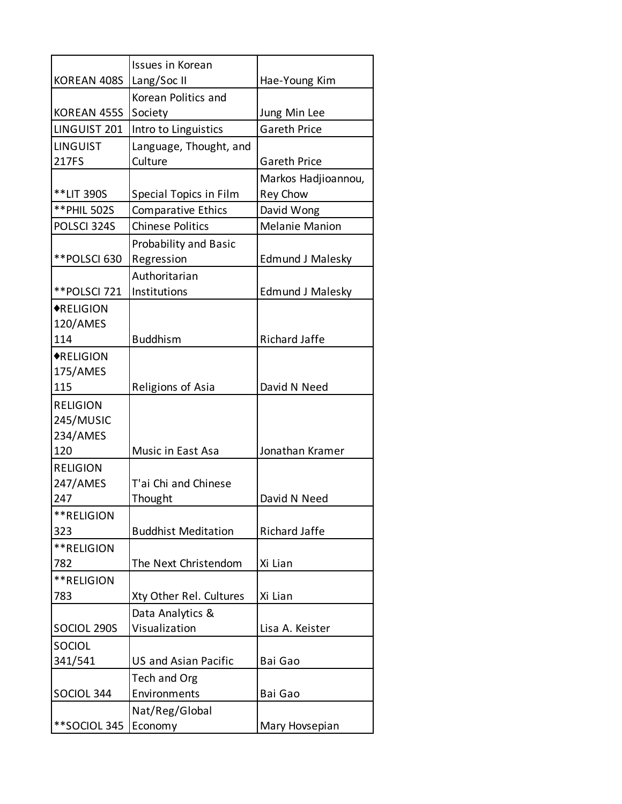|                  | Issues in Korean                  |                         |
|------------------|-----------------------------------|-------------------------|
| KOREAN 408S      | Lang/Soc II                       | Hae-Young Kim           |
|                  | Korean Politics and               |                         |
| KOREAN 455S      | Society                           | Jung Min Lee            |
| LINGUIST 201     | Intro to Linguistics              | <b>Gareth Price</b>     |
|                  |                                   |                         |
| <b>LINGUIST</b>  | Language, Thought, and            |                         |
| 217FS            | Culture                           | <b>Gareth Price</b>     |
|                  |                                   | Markos Hadjioannou,     |
| **LIT 390S       | Special Topics in Film            | <b>Rey Chow</b>         |
| ** PHIL 502S     | <b>Comparative Ethics</b>         | David Wong              |
| POLSCI 324S      | <b>Chinese Politics</b>           | <b>Melanie Manion</b>   |
|                  | <b>Probability and Basic</b>      |                         |
| **POLSCI 630     | Regression                        | <b>Edmund J Malesky</b> |
|                  | Authoritarian                     |                         |
| **POLSCI 721     | Institutions                      | <b>Edmund J Malesky</b> |
| <b>*RELIGION</b> |                                   |                         |
| 120/AMES         |                                   |                         |
| 114              | <b>Buddhism</b>                   | <b>Richard Jaffe</b>    |
| <b>*RELIGION</b> |                                   |                         |
| 175/AMES         |                                   |                         |
| 115              | Religions of Asia                 | David N Need            |
| <b>RELIGION</b>  |                                   |                         |
| 245/MUSIC        |                                   |                         |
| 234/AMES         |                                   |                         |
| 120              | Music in East Asa                 | Jonathan Kramer         |
| <b>RELIGION</b>  |                                   |                         |
| 247/AMES         | T'ai Chi and Chinese              |                         |
| 247              | Thought                           | David N Need            |
| **RELIGION       |                                   |                         |
| 323              | <b>Buddhist Meditation</b>        | <b>Richard Jaffe</b>    |
| **RELIGION       |                                   |                         |
| 782              | The Next Christendom              | Xi Lian                 |
| **RELIGION       |                                   |                         |
| 783              | Xty Other Rel. Cultures           | Xi Lian                 |
|                  |                                   |                         |
|                  | Data Analytics &<br>Visualization |                         |
| SOCIOL 290S      |                                   | Lisa A. Keister         |
| SOCIOL           |                                   |                         |
| 341/541          | <b>US and Asian Pacific</b>       | Bai Gao                 |
|                  | Tech and Org                      |                         |
| SOCIOL 344       | Environments                      | Bai Gao                 |
|                  | Nat/Reg/Global                    |                         |
| **SOCIOL 345     | Economy                           | Mary Hovsepian          |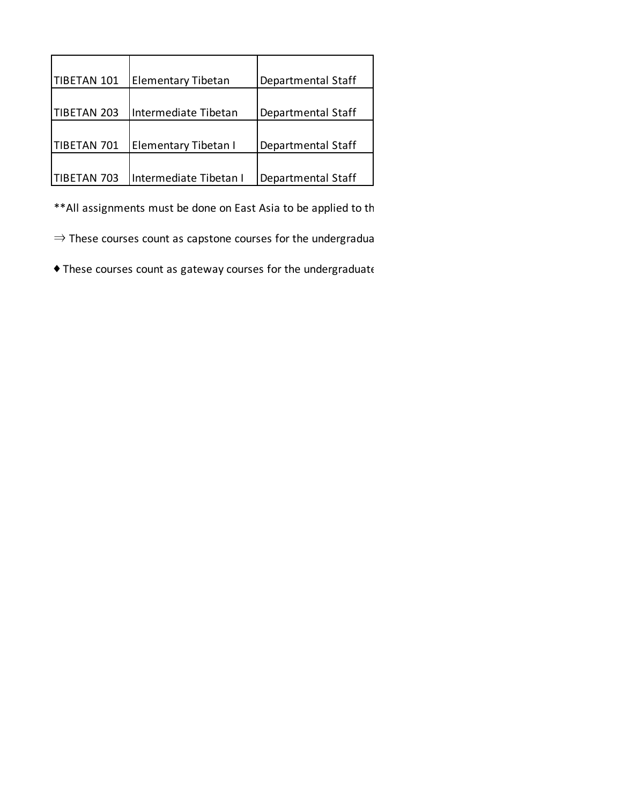| TIBETAN 101        | <b>Elementary Tibetan</b> | Departmental Staff |
|--------------------|---------------------------|--------------------|
| <b>TIBETAN 203</b> | Intermediate Tibetan      | Departmental Staff |
| TIBETAN 701        | Elementary Tibetan I      | Departmental Staff |
| TIBETAN 703        | Intermediate Tibetan I    | Departmental Staff |

\*\* All assignments must be done on East Asia to be applied to th

 $\Rightarrow$  These courses count as capstone courses for the undergradua

 $\blacklozenge$  These courses count as gateway courses for the undergraduate